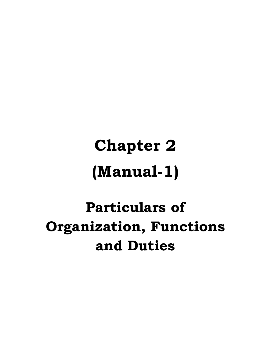# **Chapter 2 (Manual-1)**

## **Particulars of Organization, Functions and Duties**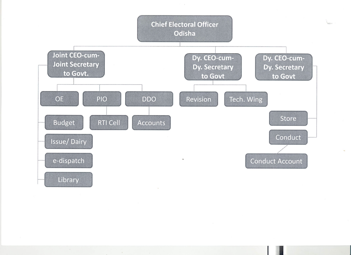

 $\sim$   $\epsilon$ 

 $\lambda$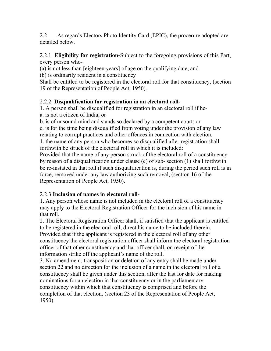2.2 As regards Electors Photo Identity Card (EPIC), the procerure adopted are detailed below.

2.2.1. **Eligibility for registration-**Subject to the foregoing provisions of this Part, every person who-

(a) is not less than [eighteen years] of age on the qualifying date, and

(b) is ordinarily resident in a constituency

Shall be entitled to be registered in the electoral roll for that constituency, (section 19 of the Representation of People Act, 1950).

#### 2.2.2. **Disqualification for registration in an electoral roll-**

1. A person shall be disqualified for registration in an electoral roll if he-

a. is not a citizen of India; or

b. is of unsound mind and stands so declared by a competent court; or

c. is for the time being disqualified from voting under the provision of any law relating to corrupt practices and other offences in connection with election.

1. the name of any person who becomes so disqualified after registration shall forthwith be struck of the electoral roll in which it is included:

Provided that the name of any person struck of the electoral roll of a constituency by reason of a disqualification under clause (c) of sub- section (1) shall forthwith be re-instated in that roll if such disqualification is, during the period such roll is in force, removed under any law authorizing such removal, (section 16 of the Representation of People Act, 1950).

### 2.2.3 **Inclusion of names in electoral roll-**

1. Any person whose name is not included in the electoral roll of a constituency may apply to the Electoral Registration Officer for the inclusion of his name in that roll.

2. The Electoral Registration Officer shall, if satisfied that the applicant is entitled to be registered in the electoral roll, direct his name to be included therein. Provided that if the applicant is registered in the electoral roll of any other constituency the electoral registration officer shall inform the electoral registration officer of that other constituency and that officer shall, on receipt of the information strike off the applicant's name of the roll.

3. No amendment, transposition or deletion of any entry shall be made under section 22 and no direction for the inclusion of a name in the electoral roll of a constituency shall be given under this section, after the last for date for making nominations for an election in that constituency or in the parliamentary constituency within which that constituency is comprised and before the completion of that election, (section 23 of the Representation of People Act, 1950).